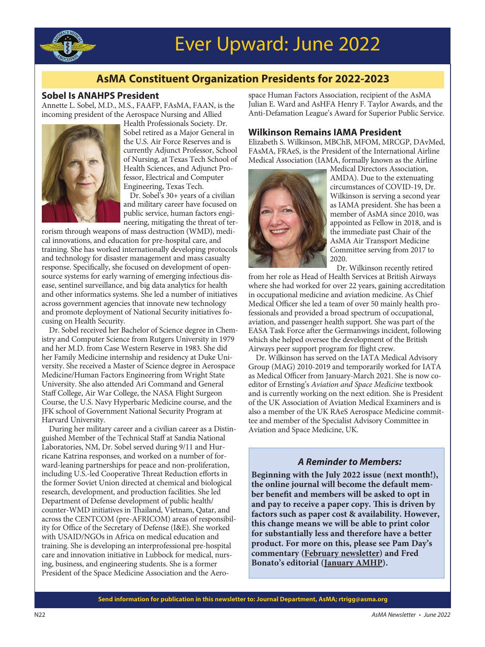

# **AsMA Constituent Organization Presidents for 2022-2023**

### **Sobel Is ANAHPS President**

Annette L. Sobel, M.D., M.S., FAAFP, FAsMA, FAAN, is the incoming president of the Aerospace Nursing and Allied



Health Professionals Society. Dr. Sobel retired as a Major General in the U.S. Air Force Reserves and is currently Adjunct Professor, School of Nursing, at Texas Tech School of Health Sciences, and Adjunct Professor, Electrical and Computer Engineering, Texas Tech.

Dr. Sobel's 30+ years of a civilian and military career have focused on public service, human factors engineering, mitigating the threat of ter-

rorism through weapons of mass destruction (WMD), medical innovations, and education for pre-hospital care, and training. She has worked internationally developing protocols and technology for disaster management and mass casualty response. Specifically, she focused on development of opensource systems for early warning of emerging infectious disease, sentinel surveillance, and big data analytics for health and other informatics systems. She led a number of initiatives across government agencies that innovate new technology and promote deployment of National Security initiatives focusing on Health Security.

Dr. Sobel received her Bachelor of Science degree in Chemistry and Computer Science from Rutgers University in 1979 and her M.D. from Case Western Reserve in 1983. She did her Family Medicine internship and residency at Duke University. She received a Master of Science degree in Aerospace Medicine/Human Factors Engineering from Wright State University. She also attended Ari Command and General Staff College, Air War College, the NASA Flight Surgeon Course, the U.S. Navy Hyperbaric Medicine course, and the JFK school of Government National Security Program at Harvard University.

 During her military career and a civilian career as a Distin guished Member of the Technical Staff at Sandia National Laboratories, NM, Dr. Sobel served during 9/11 and Hurricane Katrina responses, and worked on a number of forward-leaning partnerships for peace and non-proliferation, including U.S.-led Cooperative Threat Reduction efforts in the former Soviet Union directed at chemical and biological research, development, and production facilities. She led Department of Defense development of public health/ counter-WMD initiatives in Thailand, Vietnam, Qatar, and across the CENTCOM (pre-AFRICOM) areas of responsibility for Office of the Secretary of Defense (I&E). She worked with USAID/NGOs in Africa on medical education and training. She is developing an interprofessional pre-hospital care and innovation initiative in Lubbock for medical, nursing, business, and engineering students. She is a former President of the Space Medicine Association and the Aero-

space Human Factors Association, recipient of the AsMA Julian E. Ward and AsHFA Henry F. Taylor Awards, and the Anti-Defamation League's Award for Superior Public Service.

# **Wilkinson Remains IAMA President**

Elizabeth S. Wilkinson, MBChB, MFOM, MRCGP, DAvMed, FAsMA, FRAeS, is the President of the International Airline Medical Association (IAMA, formally known as the Airline



Medical Directors Association, AMDA). Due to the extenuating circumstances of COVID-19, Dr. Wilkinson is serving a second year as IAMA president. She has been a member of AsMA since 2010, was appointed as Fellow in 2018, and is the immediate past Chair of the AsMA Air Transport Medicine Committee serving from 2017 to 2020.

Dr. Wilkinson recently retired

from her role as Head of Health Services at British Airways where she had worked for over 22 years, gaining accreditation in occupational medicine and aviation medicine. As Chief Medical Officer she led a team of over 50 mainly health professionals and provided a broad spectrum of occupational, aviation, and passenger health support. She was part of the EASA Task Force after the Germanwings incident, following which she helped oversee the development of the British Airways peer support program for flight crew.

 Dr. Wilkinson has served on the IATA Medical Advisory Group (MAG) 2010-2019 and temporarily worked for IATA as Medical Officer from January-March 2021. She is now coeditor of Ernsting's Aviation and Space Medicine textbook and is currently working on the next edition. She is President of the UK Association of Aviation Medical Examiners and is also a member of the UK RAeS Aerospace Medicine committee and member of the Specialist Advisory Committee in Aviation and Space Medicine, UK.

# *A Reminder to Members:*

**Beginning with the July 2022 issue (next month!), the online journal will become the default member benefit and members will be asked to opt in** and pay to receive a paper copy. This is driven by factors such as paper cost & availability. However, **this change means we will be able to print color for substantially less and therefore have a better product. For more on this, please see Pam Day's commentary (February newsletter)** and Fred **Bonato's editorial [\(January AMHP\)](https://www.ingentaconnect.com/contentone/asma/amhp/2022/00000093/00000001/art00002).** 

**Send information for publication in this newsletter to: Journal Department, AsMA; rtrigg@asma.org**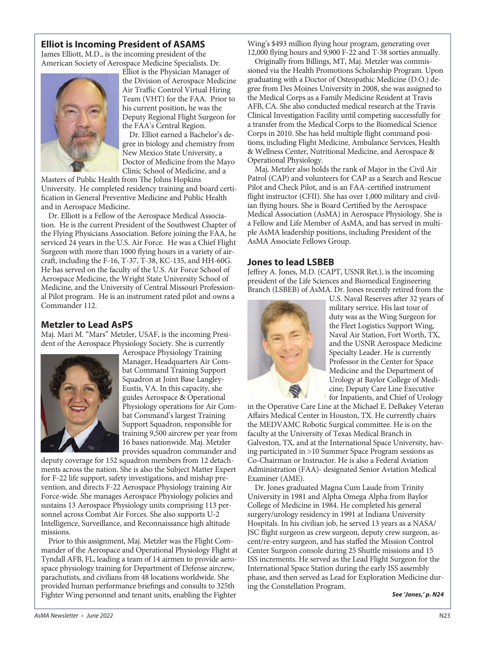# **Elliot is Incoming President of ASAMS**

James Elliott, M.D., is the incoming president of the American Society of Aerospace Medicine Specialists. Dr.



Elliot is the Physician Manager of the Division of Aerospace Medicine Air Traffic Control Virtual Hiring Team (VHT) for the FAA. Prior to his current position, he was the Deputy Regional Flight Surgeon for the FAA's Central Region.

Dr. Elliot earned a Bachelor's degree in biology and chemistry from New Mexico State University, a Doctor of Medicine from the Mayo Clinic School of Medicine, and a

Masters of Public Health from The Johns Hopkins University. He completed residency training and board certification in General Preventive Medicine and Public Health and in Aerospace Medicine.

Dr. Elliott is a Fellow of the Aerospace Medical Association. He is the current President of the Southwest Chapter of the Flying Physicians Association. Before joining the FAA, he serviced 24 years in the U.S. Air Force. He was a Chief Flight Surgeon with more than 1000 flying hours in a variety of aircraft, including the F-16, T-37, T-38, KC-135, and HH-60G. He has served on the faculty of the U.S. Air Force School of Aerospace Medicine, the Wright State University School of Medicine, and the University of Central Missouri Profession al Pilot program. He is an instrument rated pilot and owns a Commander 112.

# **Metzler to Lead AsPS**

Maj. Mari M. "Mars" Metzler, USAF, is the incoming President of the Aerospace Physiology Society. She is currently



Aerospace Physiology Training Manager, Headquarters Air Combat Command Training Support Squadron at Joint Base Langley-Eustis, VA. In this capacity, she guides Aerospace & Operational Physiology operations for Air Combat Command's largest Training Support Squadron, responsible for training 9,500 aircrew per year from 16 bases nationwide. Maj. Metzler provides squadron commander and

deputy coverage for 152 squadron members from 12 detachments across the nation. She is also the Subject Matter Expert for F-22 life support, safety investigations, and mishap prevention, and directs F-22 Aerospace Physiology training Air Force-wide. She manages Aerospace Physiology policies and sustains 13 Aerospace Physiology units comprising 113 personnel across Combat Air Forces. She also supports U-2 Intelligence, Sur veillance, and Reconnaissance high altitude missions.

Prior to this assignment, Maj. Metzler was the Flight Commander of the Aerospace and Operational Physiology Flight at Tyndall AFB, FL, leading a team of 14 airmen to provide aerospace physiology training for Department of Defense aircrew, parachutists, and civilians from 48 locations worldwide. She provided human performance briefings and consults to 325th Fighter Wing personnel and tenant units, enabling the Fighter

Wing's \$493 million flying hour program, generating over 12,000 flying hours and 9,900 F-22 and T-38 sorties annually.

 Originally from Billings, MT, Maj. Metzler was commissioned via the Health Promotions Scholarship Program. Upon graduating with a Doctor of Osteopathic Medicine (D.O.) degree from Des Moines University in 2008, she was assigned to the Medical Corps as a Family Medicine Resident at Travis AFB, CA. She also conducted medical research at the Travis Clinical Investigation Facility until competing successfully for a transfer from the Medical Corps to the Biomedical Science Corps in 2010. She has held multiple flight command positions, including Flight Medicine, Ambulance Services, Health & Wellness Center, Nutritional Medicine, and Aerospace & Operational Physiology.

 Maj. Metzler also holds the rank of Major in the Civil Air Patrol (CAP) and volunteers for CAP as a Search and Rescue Pilot and Check Pilot, and is an FAA-certified instrument flight instructor (CFII). She has over 1,000 military and civilian flying hours. She is Board Certified by the Aerospace Medical Association (AsMA) in Aerospace Physiology. She is a Fellow and Life Member of AsMA, and has served in multiple AsMA leadership positions, including President of the AsMA Associate Fellows Group.

### **Jones to lead LSBEB**

Jeffrey A. Jones, M.D. (CAPT, USNR Ret.), is the incoming president of the Life Sciences and Biomedical Engineering Branch (LSBEB) of AsMA. Dr. Jones recently retired from the



U.S. Naval Reserves after 32 years of military service. His last tour of duty was as the Wing Surgeon for the Fleet Logistics Support Wing, Naval Air Station, Fort Worth, TX, and the USNR Aerospace Medicine Specialty Leader. He is currently Professor in the Center for Space Medicine and the Department of Urology at Baylor College of Medicine; Deputy Care Line Executive for Inpatients, and Chief of Urology

in the Operative Care Line at the Michael E. DeBakey Veteran Affairs Medical Center in Houston, TX. He currently chairs the MEDVAMC Robotic Surgical committee. He is on the faculty at the University of Texas Medical Branch in Galveston, TX, and at the International Space University, having participated in >10 Summer Space Program sessions as Co-Chairman or Instructor. He is also a Federal Aviation Administration (FAA)- designated Senior Aviation Medical Examiner (AME).

 Dr. Jones graduated Magna Cum Laude from Trinity University in 1981 and Alpha Omega Alpha from Baylor College of Medicine in 1984. He completed his general surgery/urology residency in 1991 at Indiana University Hospitals. In his civilian job, he served 13 years as a NASA/ JSC flight surgeon as crew surgeon, deputy crew surgeon, ascent/re-entry surgeon, and has staffed the Mission Control Center Surgeon console during 25 Shuttle missions and 15 ISS increments. He served as the Lead Flight Surgeon for the International Space Station during the early ISS assembly phase, and then served as Lead for Exploration Medicine during the Constellation Program.

*See 'Jones,' p. N24*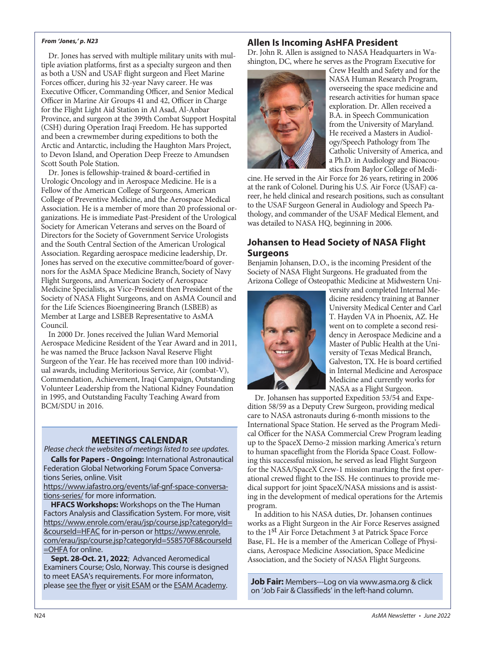#### *From 'Jones,' p. N23*

 Dr. Jones has served with multiple military units with multiple aviation platforms, first as a specialty surgeon and then as both a USN and USAF flight surgeon and Fleet Marine Forces officer, during his 32-year Navy career. He was Executive Officer, Commanding Officer, and Senior Medical Officer in Marine Air Groups 41 and 42, Officer in Charge for the Flight Light Aid Station in Al Asad, Al-Anbar Province, and surgeon at the 399th Combat Support Hospital (CSH) during Operation Iraqi Freedom. He has supported and been a crewmember during expeditions to both the Arctic and Antarctic, including the Haughton Mars Project, to Devon Island, and Operation Deep Freeze to Amundsen Scott South Pole Station.

 Dr. Jones is fellowship-trained & board-certified in Urologic Oncology and in Aerospace Medicine. He is a Fellow of the American College of Surgeons, American College of Preventive Medicine, and the Aerospace Medical Association. He is a member of more than 20 professional organizations. He is immediate Past-President of the Urological Society for American Veterans and serves on the Board of Directors for the Society of Government Service Urologists and the South Central Section of the American Urological Association. Regarding aerospace medicine leadership, Dr. Jones has served on the executive committee/board of governors for the AsMA Space Medicine Branch, Society of Navy Flight Surgeons, and American Society of Aerospace Medicine Specialists, as Vice-President then President of the Society of NASA Flight Surgeons, and on AsMA Council and for the Life Sciences Bioengineering Branch (LSBEB) as Member at Large and LSBEB Representative to AsMA Council.

 In 2000 Dr. Jones received the Julian Ward Memorial Aerospace Medicine Resident of the Year Award and in 2011, he was named the Bruce Jackson Naval Reserve Flight Surgeon of the Year. He has received more than 100 individual awards, including Meritorious Service, Air (combat-V), Commendation, Achievement, Iraqi Campaign, Outstanding Volunteer Leadership from the National Kidney Foundation in 1995, and Outstanding Faculty Teaching Award from BCM/SDU in 2016.

# **MEETINGS CALENDAR**

*Please check the websites of meetings listed to see updates.*

**Calls for Papers - Ongoing:** International Astronautical Federation Global Networking Forum Space Conversations Series, online. Visit

[https://www.iafastro.org/events/iaf-gnf-space-conversa](https://www.iafastro.org/events/iaf-gnf-space-conversations-series/)[tions-series/](https://www.iafastro.org/events/iaf-gnf-space-conversations-series/) for more information.

**HFACS Workshops:** Workshops on the The Human Factors Analysis and Classification System. For more, visit [https://www.enrole.com/erau/jsp/course.jsp?categoryId=](https://www.enrole.com/erau/jsp/course.jsp?categoryId=&courseId=HFAC) [&courseId=HFAC](https://www.enrole.com/erau/jsp/course.jsp?categoryId=&courseId=HFAC) for in-person or [https://www.enrole.](https://www.enrole.com/erau/jsp/course.jsp?categoryId=558570F8&courseId=OHFA) [com/erau/jsp/course.jsp?categoryId=558570F8&courseId](https://www.enrole.com/erau/jsp/course.jsp?categoryId=558570F8&courseId=OHFA) [=OHFA](https://www.enrole.com/erau/jsp/course.jsp?categoryId=558570F8&courseId=OHFA) for online.

**Sept. 28-Oct. 21, 2022**; Advanced Aeromedical Examiners Course; Oslo, Norway. This course is designed to meet EASA's requirements. For more informaton, please [see the flyer](https://www.asma.org/asma/media/AsMA/pdf-meetings/Other%20Meetings/esam_ame-course_sept-2022.pdf) or [visit ESAM](https://esam.aero/esam-activities/press-releases/advanced-aeromedical-examiners-ame-course/285) or the [ESAM Academy.](https://www.esam-academy.aero/component/k2/easa-advanced-course) **Job Fair:** Members---Log on via www.asma.org & click

# **Allen Is Incoming AsHFA President**

Dr. John R. Allen is assigned to NASA Headquarters in Washington, DC, where he serves as the Program Executive for



Crew Health and Safety and for the NASA Human Research Program, overseeing the space medicine and research activities for human space exploration. Dr. Allen received a B.A. in Speech Communication from the University of Maryland. He received a Masters in Audiology/Speech Pathology from The Catholic University of America, and a Ph.D. in Audiology and Bioacoustics from Baylor College of Medi-

cine. He served in the Air Force for 26 years, retiring in 2006 at the rank of Colonel. During his U.S. Air Force (USAF) career, he held clinical and research positions, such as consultant to the USAF Surgeon General in Audiology and Speech Pathology, and commander of the USAF Medical Element, and was detailed to NASA HQ, beginning in 2006.

# **Johansen to Head Society of NASA Flight Surgeons**

Benjamin Johansen, D.O., is the incoming President of the Society of NASA Flight Surgeons. He graduated from the Arizona College of Osteopathic Medicine at Midwestern Uni -



versity and completed Internal Me dicine residency training at Banner University Medical Center and Carl T. Hayden VA in Phoenix, AZ. He went on to complete a second residency in Aerospace Medicine and a Master of Public Health at the University of Texas Medical Branch, Galveston, TX. He is board certified in Internal Medicine and Aerospace Medicine and currently works for NASA as a Flight Surgeon.

Dr. Johansen has supported Expedition 53/54 and Expedition 58/59 as a Deputy Crew Surgeon, providing medical care to NASA astronauts during 6-month missions to the International Space Station. He served as the Program Medical Officer for the NASA Commercial Crew Program leading up to the SpaceX Demo-2 mission marking America's return to human spaceflight from the Florida Space Coast. Following this successful mission, he served as lead Flight Surgeon for the NASA/SpaceX Crew-1 mission marking the first operational crewed flight to the ISS. He continues to provide me dical support for joint SpaceX/NASA missions and is assisting in the development of medical operations for the Artemis program.

 In addition to his NASA duties, Dr. Johansen continues works as a Flight Surgeon in the Air Force Reserves assigned to the 1<sup>st</sup> Air Force Detachment 3 at Patrick Space Force Base, FL. He is a member of the American College of Physicians, Aerospace Medicine Association, Space Medicine Association, and the Society of NASA Flight Surgeons.

on 'Job Fair & Classifieds' in the left-hand column.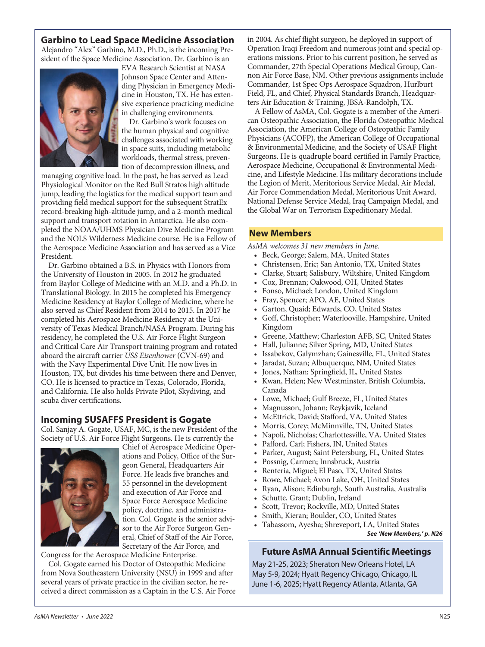# **Garbino to Lead Space Medicine Association**

Alejandro "Alex" Garbino, M.D., Ph.D., is the incoming President of the Space Medicine Association. Dr. Garbino is an



EVA Research Scientist at NASA Johnson Space Center and Attending Physician in Emergency Medicine in Houston, TX. He has extensive experience practicing medicine in challenging environments.

Dr. Garbino's work focuses on the human physical and cognitive challenges associated with working in space suits, including metabolic workloads, thermal stress, prevention of decompression illness, and

managing cognitive load. In the past, he has served as Lead Physiological Monitor on the Red Bull Stratos high altitude jump, leading the logistics for the medical support team and providing field medical support for the subsequent StratEx record-breaking high-altitude jump, and a 2-month medical support and transport rotation in Antarctica. He also completed the NOAA/UHMS Physician Dive Medicine Program and the NOLS Wilderness Medicine course. He is a Fellow of the Aerospace Medicine Association and has served as a Vice President.

 Dr. Garbino obtained a B.S. in Physics with Honors from the University of Houston in 2005. In 2012 he graduated from Baylor College of Medicine with an M.D. and a Ph.D. in Translational Biology. In 2015 he completed his Emergency Medicine Residency at Baylor College of Medicine, where he also served as Chief Resident from 2014 to 2015. In 2017 he completed his Aerospace Medicine Residency at the Uni versity of Texas Medical Branch/NASA Program. During his residency, he completed the U.S. Air Force Flight Surgeon and Critical Care Air Transport training program and rotated aboard the aircraft carrier USS Eisenhower (CVN-69) and with the Navy Experimental Dive Unit. He now lives in Houston, TX, but divides his time between there and Denver, CO. He is licensed to practice in Texas, Colorado, Florida, and California. He also holds Private Pilot, Skydiving, and scuba diver certifications.

# **Incoming SUSAFFS President is Gogate**

Col. Sanjay A. Gogate, USAF, MC, is the new President of the Society of U.S. Air Force Flight Surgeons. He is currently the



Chief of Aerospace Medicine Oper ations and Policy, Office of the Surgeon General, Headquarters Air Force. He leads five branches and 55 personnel in the development and execution of Air Force and Space Force Aerospace Medicine policy, doctrine, and administration. Col. Gogate is the senior advisor to the Air Force Surgeon General, Chief of Staff of the Air Force, Secretary of the Air Force, and

Congress for the Aerospace Medicine Enterprise.

 Col. Gogate earned his Doctor of Osteopathic Medicine from Nova Southeastern University (NSU) in 1999 and after several years of private practice in the civilian sector, he received a direct commission as a Captain in the U.S. Air Force in 2004. As chief flight surgeon, he deployed in support of Operation Iraqi Freedom and numerous joint and special operations missions. Prior to his current position, he served as Commander, 27th Special Operations Medical Group, Can non Air Force Base, NM. Other previous assignments include Commander, 1st Spec Ops Aerospace Squadron, Hurlburt Field, FL, and Chief, Physical Standards Branch, Headquarters Air Education & Training, JBSA-Randolph, TX.

A Fellow of AsMA, Col. Gogate is a member of the American Osteopathic Association, the Florida Osteopathic Medical Association, the American College of Osteopathic Family Physicians (ACOFP), the American College of Occupational & Environmental Medicine, and the Society of USAF Flight Surgeons. He is quadruple board certified in Family Practice, Aerospace Medicine, Occupational & Environmental Medicine, and Lifestyle Medicine. His military decorations include the Legion of Merit, Meritorious Service Medal, Air Medal, Air Force Commendation Medal, Meritorious Unit Award, National Defense Service Medal, Iraq Campaign Medal, and the Global War on Terrorism Expeditionary Medal.

# **New Members**

AsMA welcomes 31 new members in June.

- Beck, George; Salem, MA, United States
- Christensen, Eric; San Antonio, TX, United States
- Clarke, Stuart; Salisbury, Wiltshire, United Kingdom
- Cox, Brennan; Oakwood, OH, United States
- Fonso, Michael; London, United Kingdom
- Fray, Spencer; APO, AE, United States
- Garton, Quaid; Edwards, CO, United States
- Goff, Christopher; Waterlooville, Hampshire, United Kingdom
- Greene, Matthew; Charleston AFB, SC, United States
- Hall, Julianne; Silver Spring, MD, United States
- Issabekov, Galymzhan; Gainesville, FL, United States
- Jaradat, Suzan; Albuquerque, NM, United States
- Jones, Nathan; Springfield, IL, United States
- Kwan, Helen; New Westminster, British Columbia, Canada
- Lowe, Michael; Gulf Breeze, FL, United States
- Magnusson, Johann; Reykjavik, Iceland
- McEttrick, David; Stafford, VA, United States
- Morris, Corey; McMinnville, TN, United States
- Napoli, Nicholas; Charlottesville, VA, United States
- Pafford, Carl; Fishers, IN, United States
- Parker, August; Saint Petersburg, FL, United States
- Possnig, Carmen; Innsbruck, Austria
- Renteria, Miguel; El Paso, TX, United States
- Rowe, Michael; Avon Lake, OH, United States
- Ryan, Alison; Edinburgh, South Australia, Australia
- Schutte, Grant; Dublin, Ireland
- Scott, Trevor; Rockville, MD, United States
- Smith, Kieran; Boulder, CO, United States
- Tabassom, Ayesha; Shreveport, LA, United States *See 'New Members,' p. N26*

# **Future AsMA Annual Scientific Meetings**

May 21-25, 2023; Sheraton New Orleans Hotel, LA May 5-9, 2024; Hyatt Regency Chicago, Chicago, IL June 1-6, 2025; Hyatt Regency Atlanta, Atlanta, GA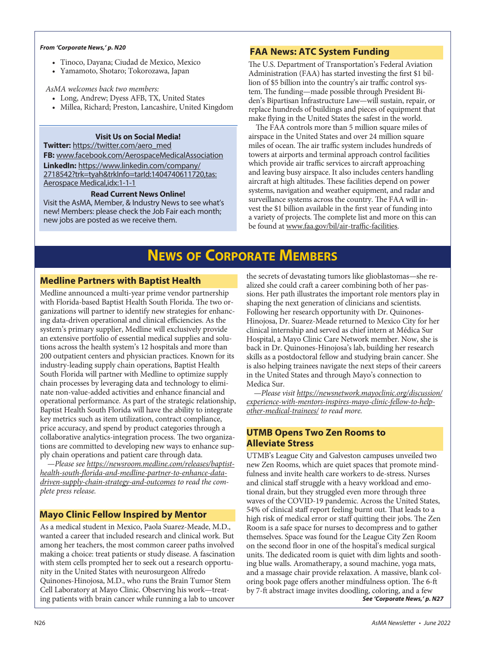- Tinoco, Dayana; Ciudad de Mexico, Mexico
- Yamamoto, Shotaro; Tokorozawa, Japan

#### AsMA welcomes back two members:

- Long, Andrew; Dyess AFB, TX, United States
- Millea, Richard; Preston, Lancashire, United Kingdom

# **Visit Us on Social Media!**

**Twitter:** [https://twitter.com/aero\\_med](https://twitter.com/aero_med)

**FB:** [www.facebook.com/AerospaceMedicalAssociation](https://www.facebook.com/AerospaceMedicalAssociation)

**LinkedIn:** [https://www.linkedin.com/company/](https://www.linkedin.com/company/2718542?trk=tyah&trkInfo=tarId:1404740611720,tas:Aerospace Medical,idx:1-1-1) [2718542?trk=tyah&trkInfo=tarId:1404740611720,tas:](https://www.linkedin.com/company/2718542?trk=tyah&trkInfo=tarId:1404740611720,tas:Aerospace Medical,idx:1-1-1) [Aerospace Medical,idx:1-1-1](https://www.linkedin.com/company/2718542?trk=tyah&trkInfo=tarId:1404740611720,tas:Aerospace Medical,idx:1-1-1)

#### **Read Current News Online!**

Visit the AsMA, Member, & Industry News to see what's new! Members: please check the Job Fair each month; new jobs are posted as we receive them.

# *From 'Corporate News,' p. N20* **FAA News: ATC System Funding**

The U.S. Department of Transportation's Federal Aviation Administration (FAA) has started investing the first \$1 billion of \$5 billion into the country's air traffic control system. The funding—made possible through President Biden's Bipartisan Infrastructure Law—will sustain, repair, or replace hundreds of buildings and pieces of equipment that make flying in the United States the safest in the world.

The FAA controls more than 5 million square miles of airspace in the United States and over 24 million square miles of ocean. The air traffic system includes hundreds of towers at airports and terminal approach control facilities which provide air traffic services to aircraft approaching and leaving busy airspace. It also includes centers handling aircraft at high altitudes. These facilities depend on power systems, navigation and weather equipment, and radar and surveillance systems across the country. The FAA will invest the \$1 billion available in the first year of funding into a variety of projects. The complete list and more on this can be found at [www.faa.gov/bil/air-traffic-facilities.](http://www.faa.gov/bil/air-traffic-facilities)

# **NEWS OF CORPORATE MEMBERS**

# **Medline Partners with Baptist Health**

Medline announced a multi-year prime vendor partnership with Florida-based Baptist Health South Florida. The two organizations will partner to identify new strategies for enhancing data-driven operational and clinical efficiencies. As the system's primary supplier, Medline will exclusively provide an extensive portfolio of essential medical supplies and solutions across the health system's 12 hospitals and more than 200 outpatient centers and physician practices. Known for its industry-leading supply chain operations, Baptist Health South Florida will partner with Medline to optimize supply chain processes by leveraging data and technology to eliminate non-value-added activities and enhance financial and operational performance. As part of the strategic relationship, Baptist Health South Florida will have the ability to integrate key metrics such as item utilization, contract compliance, price accuracy, and spend by product categories through a collaborative analytics-integration process. The two organizations are committed to developing new ways to enhance supply chain operations and patient care through data.

 —Please see [https://newsroom.medline.com/releases/baptist](https://newsroom.medline.com/releases/baptist-health-south-florida-and-medline-partner-to-enhance-data-driven-supply-chain-strategy-and-outcomes)[health-south-florida-and-medline-partner-to-enhance-data](https://newsroom.medline.com/releases/baptist-health-south-florida-and-medline-partner-to-enhance-data-driven-supply-chain-strategy-and-outcomes)[driven-supply-chain-strategy-and-outcomes](https://newsroom.medline.com/releases/baptist-health-south-florida-and-medline-partner-to-enhance-data-driven-supply-chain-strategy-and-outcomes) to read the complete press release.

# **Mayo Clinic Fellow Inspired by Mentor**

As a medical student in Mexico, Paola Suarez-Meade, M.D., wanted a career that included research and clinical work. But among her teachers, the most common career paths involved making a choice: treat patients or study disease. A fascination with stem cells prompted her to seek out a research opportunity in the United States with neurosurgeon Alfredo Quinones-Hinojosa, M.D., who runs the Brain Tumor Stem Cell Laboratory at Mayo Clinic. Observing his work—treating patients with brain cancer while running a lab to uncover

the secrets of devastating tumors like glioblastomas—she realized she could craft a career combining both of her passions. Her path illustrates the important role mentors play in shaping the next generation of clinicians and scientists. Following her research opportunity with Dr. Quinones-Hinojosa, Dr. Suarez-Meade returned to Mexico City for her clinical internship and served as chief intern at Médica Sur Hospital, a Mayo Clinic Care Network member. Now, she is back in Dr. Quinones-Hinojosa's lab, building her research skills as a postdoctoral fellow and studying brain cancer. She is also helping trainees navigate the next steps of their careers in the United States and through Mayo's connection to Medica Sur.

 —Please visit [https://newsnetwork.mayoclinic.org/discussion/](https://newsnetwork.mayoclinic.org/discussion/experience-with-mentors-inspires-mayo-clinic-fellow-to-help-other-medical-trainees/) [experience-with-mentors-inspires-mayo-clinic-fellow-to-help](https://newsnetwork.mayoclinic.org/discussion/experience-with-mentors-inspires-mayo-clinic-fellow-to-help-other-medical-trainees/)[other-medical-trainees/](https://newsnetwork.mayoclinic.org/discussion/experience-with-mentors-inspires-mayo-clinic-fellow-to-help-other-medical-trainees/) to read more.

# **UTMB Opens Two Zen Rooms to Alleviate Stress**

UTMB's League City and Galveston campuses unveiled two new Zen Rooms, which are quiet spaces that promote mindfulness and invite health care workers to de-stress. Nurses and clinical staff struggle with a heavy workload and emotional drain, but they struggled even more through three waves of the COVID-19 pandemic. Across the United States, 54% of clinical staff report feeling burnt out. That leads to a high risk of medical error or staff quitting their jobs. The Zen Room is a safe space for nurses to decompress and to gather themselves. Space was found for the League City Zen Room on the second floor in one of the hospital's medical surgical units. The dedicated room is quiet with dim lights and soothing blue walls. Aromatherapy, a sound machine, yoga mats, and a massage chair provide relaxation. A massive, blank coloring book page offers another mindfulness option. The 6-ft by 7-ft abstract image invites doodling, coloring, and a few *See 'Corporate News,' p. N27*